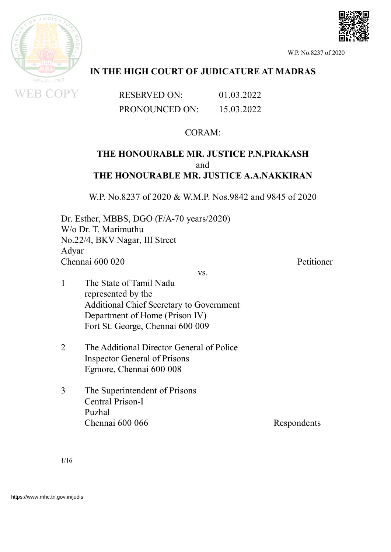

## **IN THE HIGH COURT OF JUDICATURE AT MADRAS**

RESERVED ON: 01.03.2022 PRONOUNCED ON: 15.03.2022

## CORAM:

## **THE HONOURABLE MR. JUSTICE P.N.PRAKASH** and **THE HONOURABLE MR. JUSTICE A.A.NAKKIRAN**

W.P. No.8237 of 2020 & W.M.P. Nos.9842 and 9845 of 2020

Dr. Esther, MBBS, DGO (F/A-70 years/2020) W/o Dr. T. Marimuthu No.22/4, BKV Nagar, III Street Adyar Chennai 600 020 Petitioner

vs.

- 1 The State of Tamil Nadu represented by the Additional Chief Secretary to Government Department of Home (Prison IV) Fort St. George, Chennai 600 009
- 2 The Additional Director General of Police Inspector General of Prisons Egmore, Chennai 600 008
- 3 The Superintendent of Prisons Central Prison-I Puzhal Chennai 600 066 Respondents

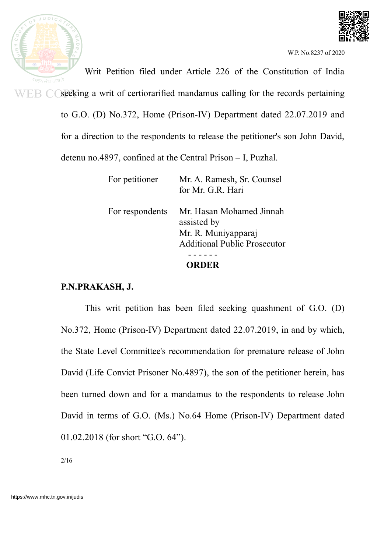



Writ Petition filed under Article 226 of the Constitution of India सतयमेव  $WEB$   $\bigcirc$  seeking a writ of certiorarified mandamus calling for the records pertaining to G.O. (D) No.372, Home (Prison-IV) Department dated 22.07.2019 and for a direction to the respondents to release the petitioner's son John David,

detenu no.4897, confined at the Central Prison – I, Puzhal.

| <b>ORDER</b>    |                                     |
|-----------------|-------------------------------------|
|                 |                                     |
|                 | <b>Additional Public Prosecutor</b> |
|                 | Mr. R. Muniyapparaj                 |
|                 | assisted by                         |
| For respondents | Mr. Hasan Mohamed Jinnah            |
|                 | for Mr. G.R. Hari                   |
| For petitioner  | Mr. A. Ramesh, Sr. Counsel          |

# **P.N.PRAKASH, J.**

This writ petition has been filed seeking quashment of G.O. (D) No.372, Home (Prison-IV) Department dated 22.07.2019, in and by which, the State Level Committee's recommendation for premature release of John David (Life Convict Prisoner No.4897), the son of the petitioner herein, has been turned down and for a mandamus to the respondents to release John David in terms of G.O. (Ms.) No.64 Home (Prison-IV) Department dated 01.02.2018 (for short "G.O. 64").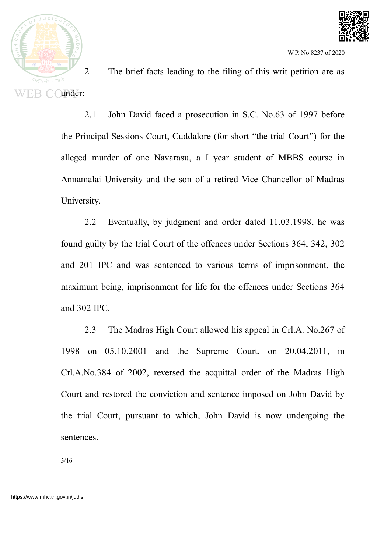



2 The brief facts leading to the filing of this writ petition are as WEB COunder:

> 2.1 John David faced a prosecution in S.C. No.63 of 1997 before the Principal Sessions Court, Cuddalore (for short "the trial Court") for the alleged murder of one Navarasu, a I year student of MBBS course in Annamalai University and the son of a retired Vice Chancellor of Madras University.

> 2.2 Eventually, by judgment and order dated 11.03.1998, he was found guilty by the trial Court of the offences under Sections 364, 342, 302 and 201 IPC and was sentenced to various terms of imprisonment, the maximum being, imprisonment for life for the offences under Sections 364 and 302 IPC.

> 2.3 The Madras High Court allowed his appeal in Crl.A. No.267 of 1998 on 05.10.2001 and the Supreme Court, on 20.04.2011, in Crl.A.No.384 of 2002, reversed the acquittal order of the Madras High Court and restored the conviction and sentence imposed on John David by the trial Court, pursuant to which, John David is now undergoing the sentences.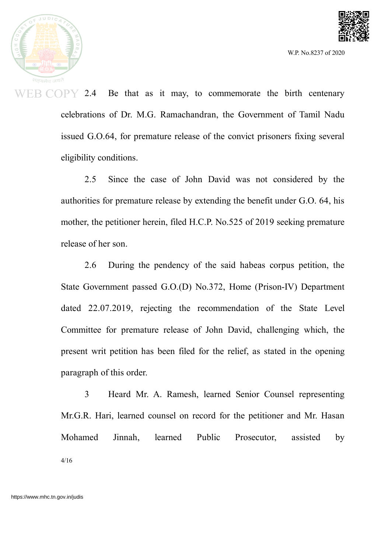



**EB COPY** 2.4 Be that as it may, to commemorate the birth centenary celebrations of Dr. M.G. Ramachandran, the Government of Tamil Nadu issued G.O.64, for premature release of the convict prisoners fixing several eligibility conditions.

> 2.5 Since the case of John David was not considered by the authorities for premature release by extending the benefit under G.O. 64, his mother, the petitioner herein, filed H.C.P. No.525 of 2019 seeking premature release of her son.

> 2.6 During the pendency of the said habeas corpus petition, the State Government passed G.O.(D) No.372, Home (Prison-IV) Department dated 22.07.2019, rejecting the recommendation of the State Level Committee for premature release of John David, challenging which, the present writ petition has been filed for the relief, as stated in the opening paragraph of this order.

> 3 Heard Mr. A. Ramesh, learned Senior Counsel representing Mr.G.R. Hari, learned counsel on record for the petitioner and Mr. Hasan Mohamed Jinnah, learned Public Prosecutor, assisted by 4/16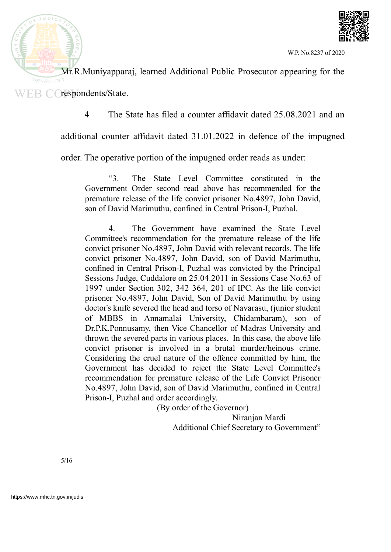



Mr.R.Muniyapparaj, learned Additional Public Prosecutor appearing for the WEB C respondents/State.

4 The State has filed a counter affidavit dated 25.08.2021 and an

additional counter affidavit dated 31.01.2022 in defence of the impugned

order. The operative portion of the impugned order reads as under:

"3. The State Level Committee constituted in the Government Order second read above has recommended for the premature release of the life convict prisoner No.4897, John David, son of David Marimuthu, confined in Central Prison-I, Puzhal.

4. The Government have examined the State Level Committee's recommendation for the premature release of the life convict prisoner No.4897, John David with relevant records. The life convict prisoner No.4897, John David, son of David Marimuthu, confined in Central Prison-I, Puzhal was convicted by the Principal Sessions Judge, Cuddalore on 25.04.2011 in Sessions Case No.63 of 1997 under Section 302, 342 364, 201 of IPC. As the life convict prisoner No.4897, John David, Son of David Marimuthu by using doctor's knife severed the head and torso of Navarasu, (junior student of MBBS in Annamalai University, Chidambaram), son of Dr.P.K.Ponnusamy, then Vice Chancellor of Madras University and thrown the severed parts in various places. In this case, the above life convict prisoner is involved in a brutal murder/heinous crime. Considering the cruel nature of the offence committed by him, the Government has decided to reject the State Level Committee's recommendation for premature release of the Life Convict Prisoner No.4897, John David, son of David Marimuthu, confined in Central Prison-I, Puzhal and order accordingly.

> (By order of the Governor) Niranjan Mardi Additional Chief Secretary to Government"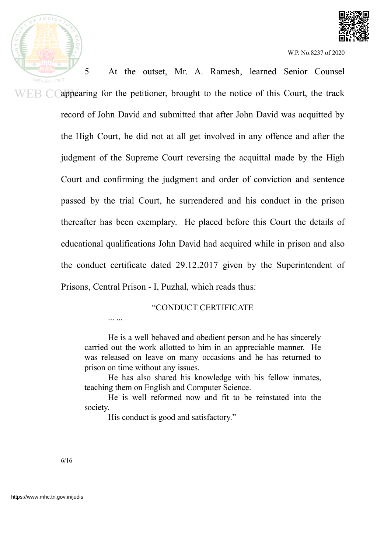

5 At the outset, Mr. A. Ramesh, learned Senior Counsel सत्यमेव जयते appearing for the petitioner, brought to the notice of this Court, the track WEB CO record of John David and submitted that after John David was acquitted by the High Court, he did not at all get involved in any offence and after the judgment of the Supreme Court reversing the acquittal made by the High Court and confirming the judgment and order of conviction and sentence passed by the trial Court, he surrendered and his conduct in the prison thereafter has been exemplary. He placed before this Court the details of educational qualifications John David had acquired while in prison and also the conduct certificate dated 29.12.2017 given by the Superintendent of

Prisons, Central Prison - I, Puzhal, which reads thus:

#### "CONDUCT CERTIFICATE

... ...

He is a well behaved and obedient person and he has sincerely carried out the work allotted to him in an appreciable manner. He was released on leave on many occasions and he has returned to prison on time without any issues.

He has also shared his knowledge with his fellow inmates, teaching them on English and Computer Science.

He is well reformed now and fit to be reinstated into the society.

His conduct is good and satisfactory."

6/16

 $JUDIC$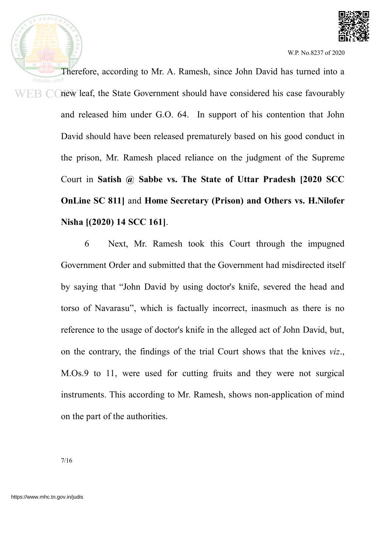

Therefore, according to Mr. A. Ramesh, since John David has turned into a सतयमेव new leaf, the State Government should have considered his case favourably WEB CO and released him under G.O. 64. In support of his contention that John David should have been released prematurely based on his good conduct in the prison, Mr. Ramesh placed reliance on the judgment of the Supreme Court in **Satish @ Sabbe vs. The State of Uttar Pradesh [2020 SCC OnLine SC 811]** and **Home Secretary (Prison) and Others vs. H.Nilofer Nisha [(2020) 14 SCC 161]**.

> 6 Next, Mr. Ramesh took this Court through the impugned Government Order and submitted that the Government had misdirected itself by saying that "John David by using doctor's knife, severed the head and torso of Navarasu", which is factually incorrect, inasmuch as there is no reference to the usage of doctor's knife in the alleged act of John David, but, on the contrary, the findings of the trial Court shows that the knives *viz*., M.Os.9 to 11, were used for cutting fruits and they were not surgical instruments. This according to Mr. Ramesh, shows non-application of mind on the part of the authorities.

 $JUDIC$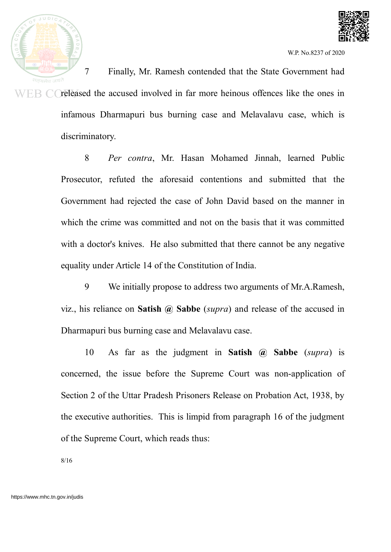



7 Finally, Mr. Ramesh contended that the State Government had  $F_{\rm{B}}$  C released the accused involved in far more heinous offences like the ones in infamous Dharmapuri bus burning case and Melavalavu case, which is discriminatory.

> 8 *Per contra*, Mr. Hasan Mohamed Jinnah, learned Public Prosecutor, refuted the aforesaid contentions and submitted that the Government had rejected the case of John David based on the manner in which the crime was committed and not on the basis that it was committed with a doctor's knives. He also submitted that there cannot be any negative equality under Article 14 of the Constitution of India.

> 9 We initially propose to address two arguments of Mr.A.Ramesh, viz., his reliance on **Satish @ Sabbe** (*supra*) and release of the accused in Dharmapuri bus burning case and Melavalavu case.

> 10 As far as the judgment in **Satish @ Sabbe** (*supra*) is concerned, the issue before the Supreme Court was non-application of Section 2 of the Uttar Pradesh Prisoners Release on Probation Act, 1938, by the executive authorities. This is limpid from paragraph 16 of the judgment of the Supreme Court, which reads thus: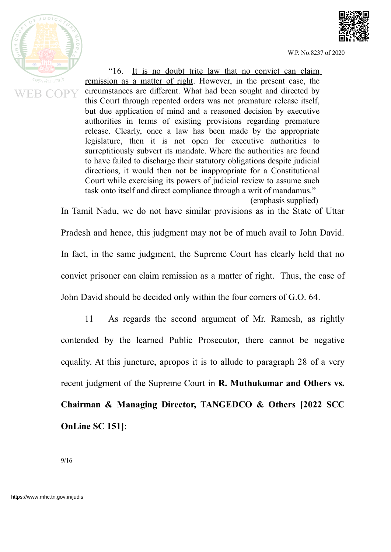



"16. It is no doubt trite law that no convict can claim remission as a matter of right. However, in the present case, the circumstances are different. What had been sought and directed by this Court through repeated orders was not premature release itself, but due application of mind and a reasoned decision by executive authorities in terms of existing provisions regarding premature release. Clearly, once a law has been made by the appropriate legislature, then it is not open for executive authorities to surreptitiously subvert its mandate. Where the authorities are found to have failed to discharge their statutory obligations despite judicial directions, it would then not be inappropriate for a Constitutional Court while exercising its powers of judicial review to assume such task onto itself and direct compliance through a writ of mandamus."

(emphasis supplied)

In Tamil Nadu, we do not have similar provisions as in the State of Uttar Pradesh and hence, this judgment may not be of much avail to John David. In fact, in the same judgment, the Supreme Court has clearly held that no convict prisoner can claim remission as a matter of right. Thus, the case of John David should be decided only within the four corners of G.O. 64.

11 As regards the second argument of Mr. Ramesh, as rightly contended by the learned Public Prosecutor, there cannot be negative equality. At this juncture, apropos it is to allude to paragraph 28 of a very recent judgment of the Supreme Court in **R. Muthukumar and Others vs. Chairman & Managing Director, TANGEDCO & Others [2022 SCC OnLine SC 151]**: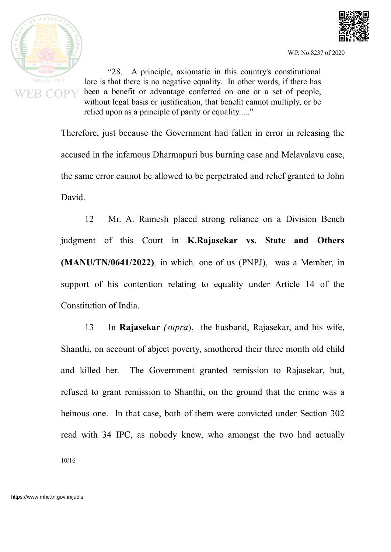



"28. A principle, axiomatic in this country's constitutional lore is that there is no negative equality. In other words, if there has been a benefit or advantage conferred on one or a set of people, without legal basis or justification, that benefit cannot multiply, or be relied upon as a principle of parity or equality....."

Therefore, just because the Government had fallen in error in releasing the accused in the infamous Dharmapuri bus burning case and Melavalavu case, the same error cannot be allowed to be perpetrated and relief granted to John David.

12 Mr. A. Ramesh placed strong reliance on a Division Bench judgment of this Court in **K.Rajasekar vs. State and Others (MANU/TN/0641/2022)***,* in which*,* one of us (PNPJ), was a Member, in support of his contention relating to equality under Article 14 of the Constitution of India.

13 In **Rajasekar** *(supra*), the husband, Rajasekar, and his wife, Shanthi, on account of abject poverty, smothered their three month old child and killed her. The Government granted remission to Rajasekar, but, refused to grant remission to Shanthi, on the ground that the crime was a heinous one. In that case, both of them were convicted under Section 302 read with 34 IPC, as nobody knew, who amongst the two had actually 10/16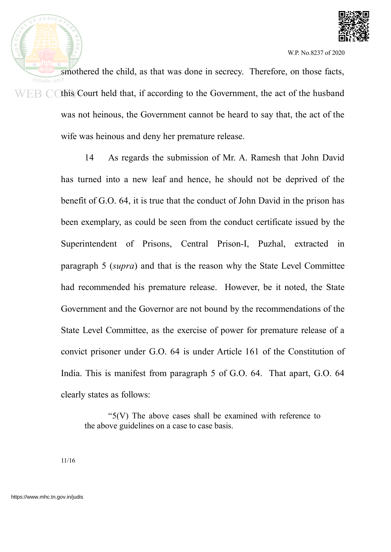

smothered the child, as that was done in secrecy. Therefore, on those facts,  $WEB$  C (this Court held that, if according to the Government, the act of the husband was not heinous, the Government cannot be heard to say that, the act of the wife was heinous and deny her premature release.

> 14 As regards the submission of Mr. A. Ramesh that John David has turned into a new leaf and hence, he should not be deprived of the benefit of G.O. 64, it is true that the conduct of John David in the prison has been exemplary, as could be seen from the conduct certificate issued by the Superintendent of Prisons, Central Prison-I, Puzhal, extracted in paragraph 5 (*supra*) and that is the reason why the State Level Committee had recommended his premature release. However, be it noted, the State Government and the Governor are not bound by the recommendations of the State Level Committee, as the exercise of power for premature release of a convict prisoner under G.O. 64 is under Article 161 of the Constitution of India. This is manifest from paragraph 5 of G.O. 64. That apart, G.O. 64 clearly states as follows:

"5(V) The above cases shall be examined with reference to the above guidelines on a case to case basis.

11/16

 $JUDIC$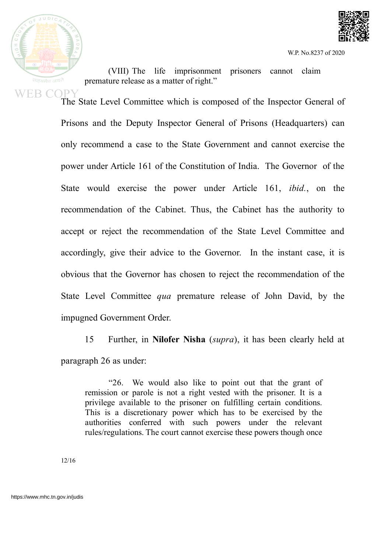

(VIII) The life imprisonment prisoners cannot claim premature release as a matter of right."

WEB COPY<br>The State Level Committee which is composed of the Inspector General of Prisons and the Deputy Inspector General of Prisons (Headquarters) can only recommend a case to the State Government and cannot exercise the power under Article 161 of the Constitution of India. The Governor of the State would exercise the power under Article 161, *ibid.*, on the recommendation of the Cabinet. Thus, the Cabinet has the authority to accept or reject the recommendation of the State Level Committee and accordingly, give their advice to the Governor. In the instant case, it is obvious that the Governor has chosen to reject the recommendation of the State Level Committee *qua* premature release of John David, by the impugned Government Order.

> 15 Further, in **Nilofer Nisha** (*supra*), it has been clearly held at paragraph 26 as under:

"26. We would also like to point out that the grant of remission or parole is not a right vested with the prisoner. It is a privilege available to the prisoner on fulfilling certain conditions. This is a discretionary power which has to be exercised by the authorities conferred with such powers under the relevant rules/regulations. The court cannot exercise these powers though once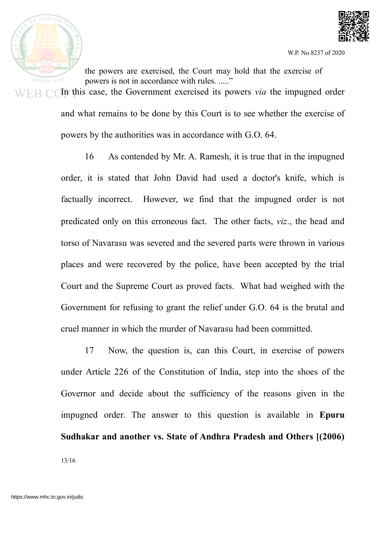



the powers are exercised, the Court may hold that the exercise of powers is not in accordance with rules. ....." In this case, the Government exercised its powers *via* the impugned order and what remains to be done by this Court is to see whether the exercise of powers by the authorities was in accordance with G.O. 64.

16 As contended by Mr. A. Ramesh, it is true that in the impugned order, it is stated that John David had used a doctor's knife, which is factually incorrect. However, we find that the impugned order is not predicated only on this erroneous fact. The other facts, *viz*., the head and torso of Navarasu was severed and the severed parts were thrown in various places and were recovered by the police, have been accepted by the trial Court and the Supreme Court as proved facts. What had weighed with the Government for refusing to grant the relief under G.O. 64 is the brutal and cruel manner in which the murder of Navarasu had been committed.

17 Now, the question is, can this Court, in exercise of powers under Article 226 of the Constitution of India, step into the shoes of the Governor and decide about the sufficiency of the reasons given in the impugned order. The answer to this question is available in **Epuru Sudhakar and another vs. State of Andhra Pradesh and Others [(2006)** 13/16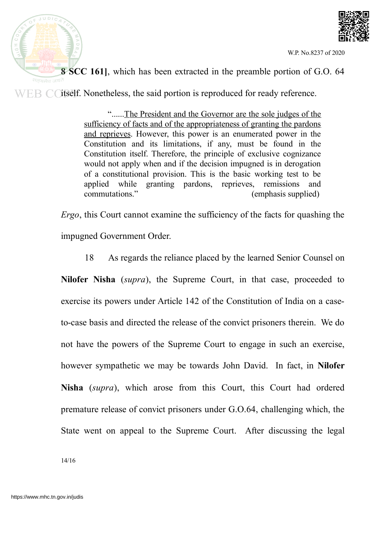



**8 SCC 161]**, which has been extracted in the preamble portion of G.O. 64

 $WEB$  Coitself. Nonetheless, the said portion is reproduced for ready reference.

"......The President and the Governor are the sole judges of the sufficiency of facts and of the appropriateness of granting the pardons and reprieves. However, this power is an enumerated power in the Constitution and its limitations, if any, must be found in the Constitution itself. Therefore, the principle of exclusive cognizance would not apply when and if the decision impugned is in derogation of a constitutional provision. This is the basic working test to be applied while granting pardons, reprieves, remissions and commutations." (emphasis supplied)

*Ergo*, this Court cannot examine the sufficiency of the facts for quashing the impugned Government Order.

18 As regards the reliance placed by the learned Senior Counsel on

**Nilofer Nisha** (*supra*), the Supreme Court, in that case, proceeded to exercise its powers under Article 142 of the Constitution of India on a caseto-case basis and directed the release of the convict prisoners therein. We do not have the powers of the Supreme Court to engage in such an exercise, however sympathetic we may be towards John David. In fact, in **Nilofer Nisha** (*supra*), which arose from this Court, this Court had ordered premature release of convict prisoners under G.O.64, challenging which, the State went on appeal to the Supreme Court. After discussing the legal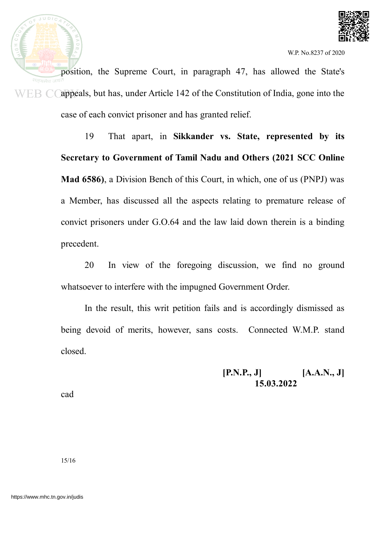

position, the Supreme Court, in paragraph 47, has allowed the State's appeals, but has, under Article 142 of the Constitution of India, gone into the WEB CO case of each convict prisoner and has granted relief.

> 19 That apart, in **Sikkander vs. State, represented by its Secretary to Government of Tamil Nadu and Others (2021 SCC Online Mad 6586)**, a Division Bench of this Court, in which, one of us (PNPJ) was a Member, has discussed all the aspects relating to premature release of convict prisoners under G.O.64 and the law laid down therein is a binding precedent.

> 20 In view of the foregoing discussion, we find no ground whatsoever to interfere with the impugned Government Order.

> In the result, this writ petition fails and is accordingly dismissed as being devoid of merits, however, sans costs. Connected W.M.P. stand closed.

> > **[P.N.P., J] [A.A.N., J] 15.03.2022**

cad

 $JUDIC$